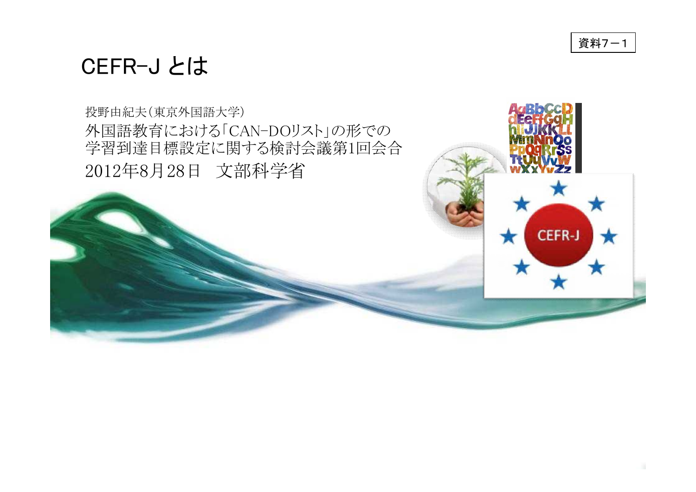

### CEFR-J とは

投野由紀夫(東京外国語大学) 外国語教育における「CAN-DOリスト」の形での 学習到達目標設定に関する検討会議第1回会合 2012年8月28日 文部科学省

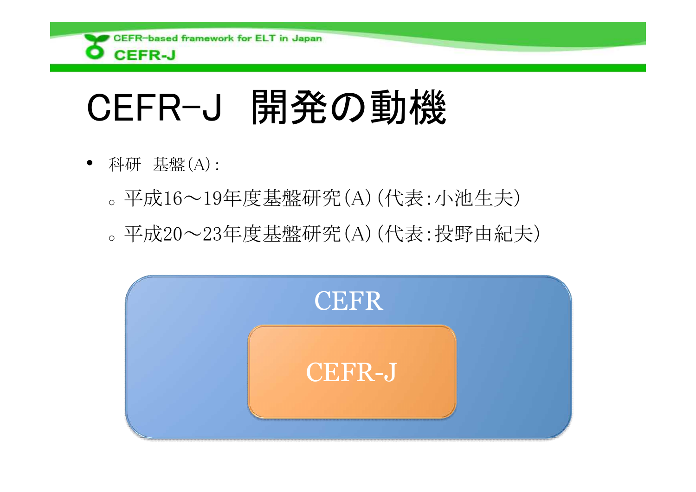

# CEFR-J 開発の動機

- 科研 基盤(A):
	- <sup>o</sup> 平成16~19年度基盤研究(A)(代表:小池生夫)
	- <sup>o</sup> 平成20~23年度基盤研究(A)(代表:投野由紀夫)

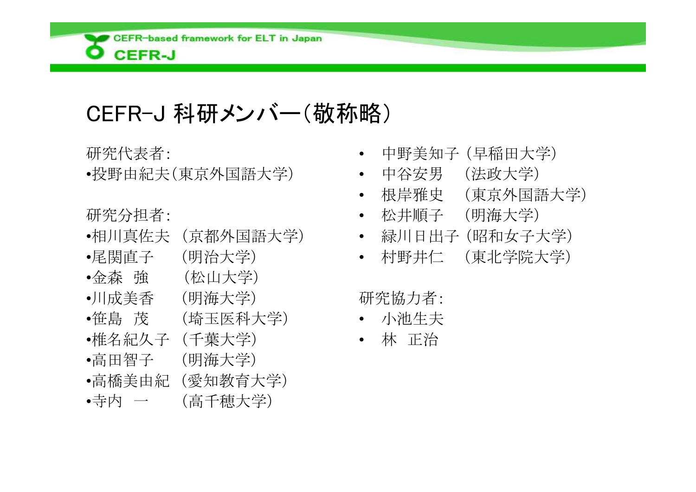

# CEFR-J 科研メンバー(敬称略)

研究代表者:

•投野由紀夫(東京外国語大学)

研究分担者:

- •相川真佐夫 (京都外国語大学)
- •尾関直子 (明治大学)
- •金森 強 (松山大学)
- •川成美香 (明海大学)
- •笹島 茂 (埼玉医科大学)
- •椎名紀久子 (千葉大学)
- •高田智子 (明海大学)
- •高橋美由紀 (愛知教育大学)
- •寺内 一 (高千穂大学)
- 中野美知子 (早稲田大学)
- 中谷安男 (法政大学)
- 根岸雅史 (東京外国語大学)
- 松井順子 (明海大学)
- 緑川日出子 (昭和女子大学)
- 村野井仁 (東北学院大学)

研究協力者:

- 小池生夫
- 林 正治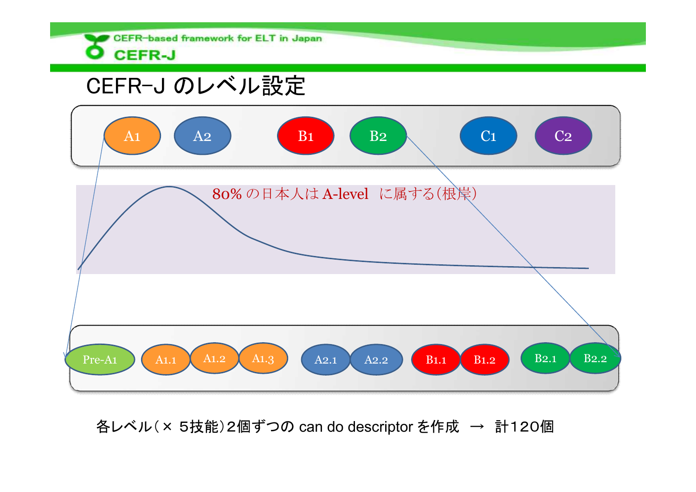#### CEFR-based framework for ELT in Japan **O** CEFR-J

## CEFR-J のレベル設定



各レベル(× 5技能)2個ずつの can do descriptor を作成 → 計120個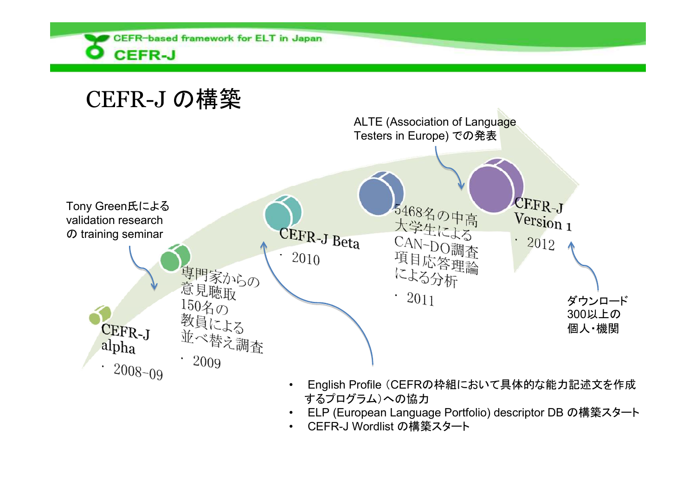

# CEFR-J の構築



- するプログラム)への協力
- ELP (European Language Portfolio) descriptor DB の構築スタート
- CEFR-J Wordlist の構築スタート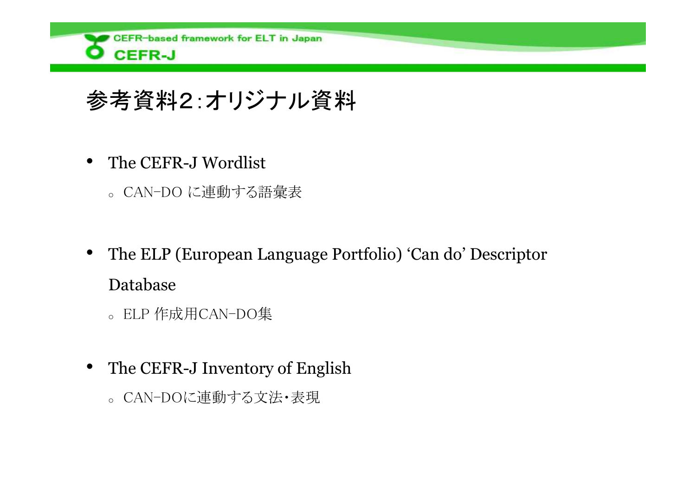

# 参考資料2:オリジナル資料

- The CEFR-J Wordlist
	- <sup>o</sup> CAN-DO に連動する語彙表
- The ELP (European Language Portfolio) 'Can do' Descriptor Database
	- <sup>o</sup> ELP 作成用CAN-DO集
- The CEFR-J Inventory of English
	- <sup>o</sup> CAN-DOに連動する文法・表現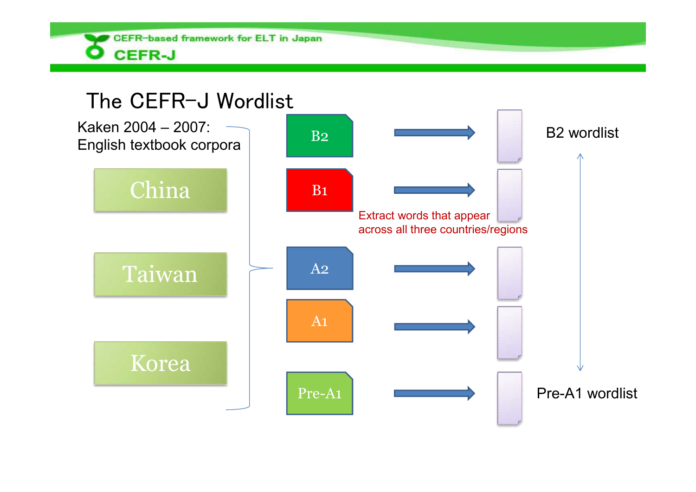

#### The CEFR-J Wordlist

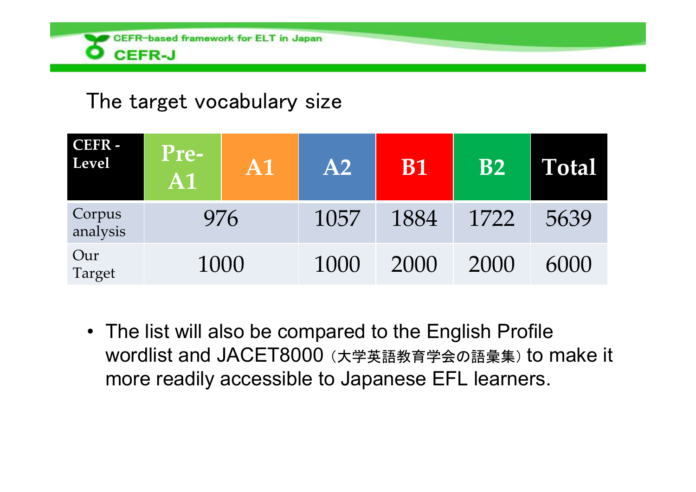

#### The target vocabulary size

| CEFR -<br>Level    | <b>Pre-</b><br>A <sub>1</sub> | A <sub>1</sub> | A2   | <b>B1</b> | <b>B2</b> | Total |
|--------------------|-------------------------------|----------------|------|-----------|-----------|-------|
| Corpus<br>analysis | 976                           |                | 1057 | 1884      | 1722      | 5639  |
| Our<br>Target      | 1000                          |                | 1000 | 2000      | 2000      | 6000  |

• The list will also be compared to the English Profile wordlist and JACET8000 (大学英語教育学会の語彙集) to make it more readily accessible to Japanese EFL learners.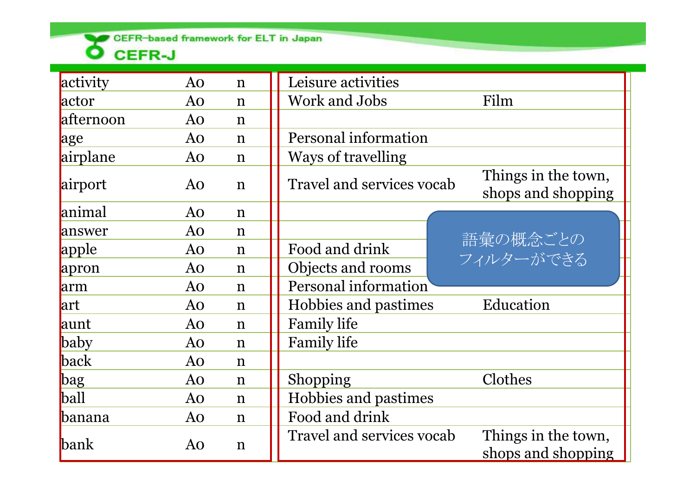CEFR-based framework for ELT in Japan

| activity      | Ao | $\mathbf n$ | Leisure activities                                                            |  |  |
|---------------|----|-------------|-------------------------------------------------------------------------------|--|--|
| actor         | Ao | $\mathbf n$ | Work and Jobs<br>Film                                                         |  |  |
| afternoon     | Ao | $\mathbf n$ |                                                                               |  |  |
| age           | Ao | $\mathbf n$ | Personal information                                                          |  |  |
| airplane      | Ao | $\mathbf n$ | Ways of travelling                                                            |  |  |
| airport       | Ao | $\mathbf n$ | Things in the town,<br><b>Travel and services vocab</b><br>shops and shopping |  |  |
| animal        | Ao | $\mathbf n$ |                                                                               |  |  |
| answer        | Ao | $\mathbf n$ |                                                                               |  |  |
| apple         | Ao | $\mathbf n$ | 語彙の概念ごとの<br>Food and drink                                                    |  |  |
| apron         | Ao | $\mathbf n$ | フィルターができる<br>Objects and rooms                                                |  |  |
| arm           | Ao | $\mathbf n$ | Personal information                                                          |  |  |
| lart          | Ao | $\mathbf n$ | Education<br>Hobbies and pastimes                                             |  |  |
| aunt          | Ao | $\mathbf n$ | <b>Family life</b>                                                            |  |  |
| baby          | Ao | $\mathbf n$ | <b>Family life</b>                                                            |  |  |
| back          | Ao | $\mathbf n$ |                                                                               |  |  |
| bag           | Ao | $\mathbf n$ | Clothes<br>Shopping                                                           |  |  |
| ball          | Ao | $\mathbf n$ | Hobbies and pastimes                                                          |  |  |
| <b>banana</b> | Ao | $\mathbf n$ | Food and drink                                                                |  |  |
| <b>bank</b>   | Ao | $\mathbf n$ | Things in the town,<br>Travel and services vocab<br>shops and shopping        |  |  |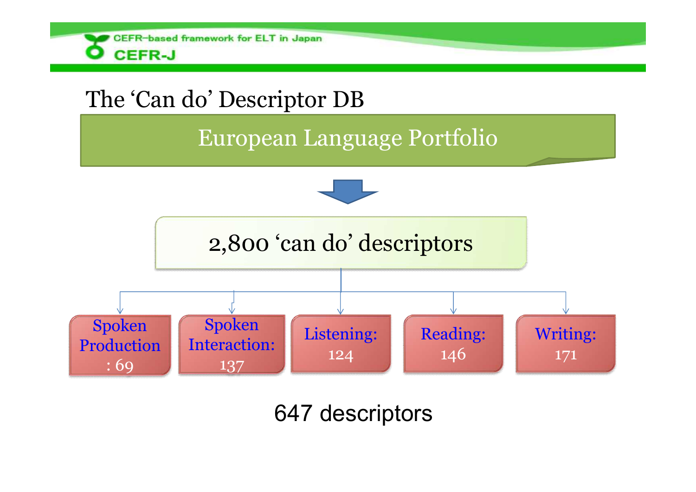

# 647 descriptors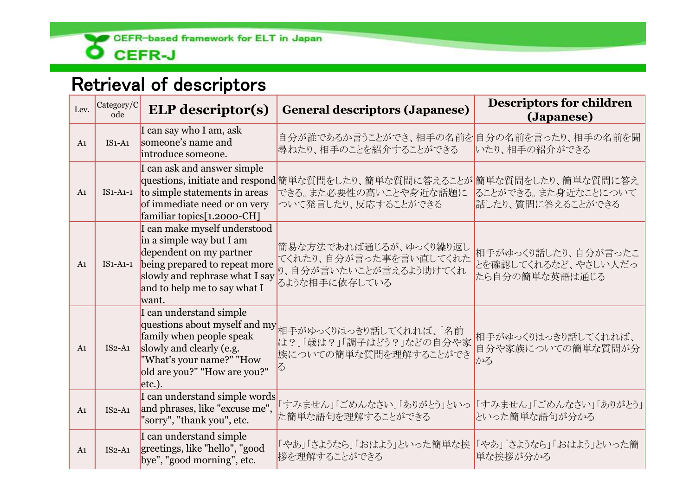

#### Retrieval of descriptors

| Lev.           | Category/C<br>ode | <b>ELP</b> descriptor(s)                                                                                                                                                                                 | <b>General descriptors (Japanese)</b>                                                                                   | <b>Descriptors for children</b><br>(Japanese)                |
|----------------|-------------------|----------------------------------------------------------------------------------------------------------------------------------------------------------------------------------------------------------|-------------------------------------------------------------------------------------------------------------------------|--------------------------------------------------------------|
| A <sub>1</sub> | $IS1-A1$          | I can say who I am, ask<br>someone's name and<br>introduce someone.                                                                                                                                      | 自分が誰であるか言うことができ、相手の名前を<br>尋ねたり、相手のことを紹介することができる                                                                         | 自分の名前を言ったり、相手の名前を聞<br>いたり、相手の紹介ができる                          |
| A <sub>1</sub> |                   | I can ask and answer simple<br>$IS1-A1-1$ to simple statements in areas<br>of immediate need or on very<br>familiar topics[1.2000-CH]                                                                    | questions, initiate and respond衛単な質問をしたり、簡単な質問に答えることが簡単な質問をしたり、簡単な質問に答え<br>できる。また必要性の高いことや身近な話題に<br>ついて発言したり、反応することができる | ることができる。また身近なことについて<br>話したり、質問に答えることができる                     |
| A <sub>1</sub> |                   | I can make myself understood<br>in a simple way but I am<br>dependent on my partner<br>IS1-A1-1 being prepared to repeat more<br>slowly and rephrase what I say<br>and to help me to say what I<br>want. | 簡易な方法であれば通じるが、ゆっくり繰り返し<br>てくれたり、自分が言った事を言い直してくれた<br>り、自分が言いたいことが言えるよう助けてくれ<br>るような相手に依存している                             | 相手がゆっくり話したり、自分が言ったこ<br>とを確認してくれるなど、やさしい人だっ<br>たら自分の簡単な英語は通じる |
| A <sub>1</sub> | $IS2-A1$          | I can understand simple<br>family when people speak<br>slowly and clearly (e.g.<br>"What's your name?" "How<br>old are you?" "How are you?"<br>$etc.$ ).                                                 | questions about myself and my 相手がゆっくりはっきり話してくれれば、「名前<br>は?」「歳は?」「調子はどう?」などの自分や家<br>族についての簡単な質問を理解することができ                | 相手がゆっくりはっきり話してくれれば、<br>自分や家族についての簡単な質問が分<br>かる               |
| A <sub>1</sub> | $IS2-A1$          | I can understand simple words<br>and phrases, like "excuse me",<br>"sorry", "thank you", etc.                                                                                                            | 「すみません」「ごめんなさい」「ありがとう」といっ<br>た簡単な語句を理解することができる                                                                          | 「すみません」「ごめんなさい」「ありがとう」<br>といった簡単な語句が分かる                      |
| A <sub>1</sub> | $IS2-A1$          | I can understand simple<br>greetings, like "hello", "good<br>bye", "good morning", etc.                                                                                                                  | 「やあ」「さようなら」「おはよう」といった簡単な挨<br>拶を理解することができる                                                                               | 「やあ」「さようなら」「おはよう」といった簡<br>単な挨拶が分かる                           |